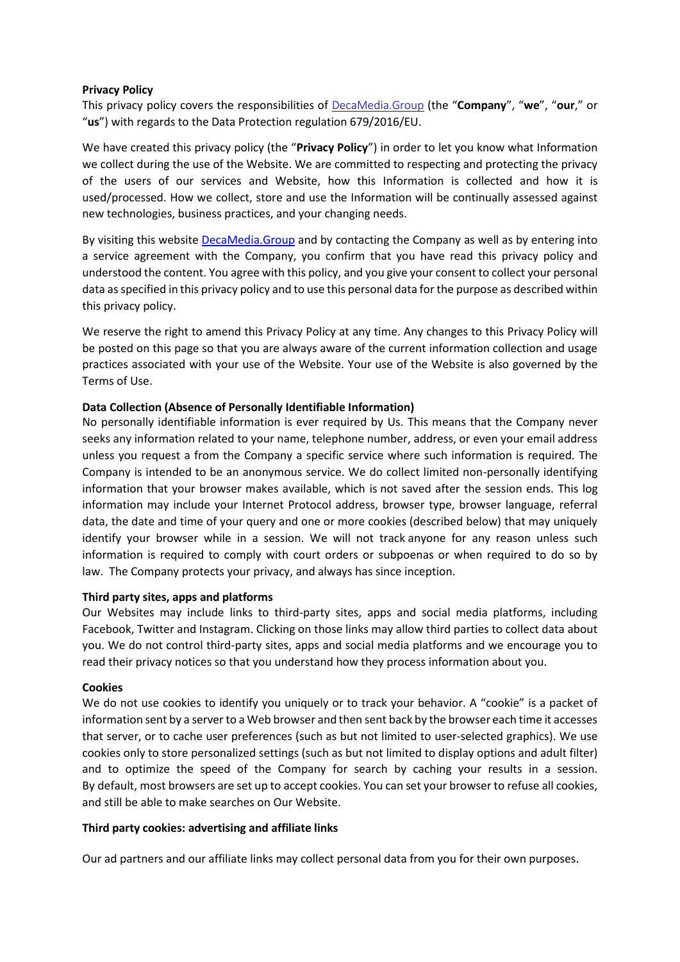### **Privacy Policy**

This privacy policy covers the responsibilities of [DecaMedia.Group](https://decamedia.group/) (the "**Company**", "**we**", "**our**," or "**us**") with regards to the Data Protection regulation 679/2016/EU.

We have created this privacy policy (the "**Privacy Policy**") in order to let you know what Information we collect during the use of the Website. We are committed to respecting and protecting the privacy of the users of our services and Website, how this Information is collected and how it is used/processed. How we collect, store and use the Information will be continually assessed against new technologies, business practices, and your changing needs.

By visiting this website [DecaMedia.Group](https://decamedia.group/) and by contacting the Company as well as by entering into a service agreement with the Company, you confirm that you have read this privacy policy and understood the content. You agree with this policy, and you give your consent to collect your personal data as specified in this privacy policy and to use this personal data for the purpose as described within this privacy policy.

We reserve the right to amend this Privacy Policy at any time. Any changes to this Privacy Policy will be posted on this page so that you are always aware of the current information collection and usage practices associated with your use of the Website. Your use of the Website is also governed by the Terms of Use.

## **Data Collection (Absence of Personally Identifiable Information)**

No personally identifiable information is ever required by Us. This means that the Company never seeks any information related to your name, telephone number, address, or even your email address unless you request a from the Company a specific service where such information is required. The Company is intended to be an anonymous service. We do collect limited non-personally identifying information that your browser makes available, which is not saved after the session ends. This log information may include your Internet Protocol address, browser type, browser language, referral data, the date and time of your query and one or more cookies (described below) that may uniquely identify your browser while in a session. We will not track anyone for any reason unless such information is required to comply with court orders or subpoenas or when required to do so by law. The Company protects your privacy, and always has since inception.

## **Third party sites, apps and platforms**

Our Websites may include links to third-party sites, apps and social media platforms, including Facebook, Twitter and Instagram. Clicking on those links may allow third parties to collect data about you. We do not control third-party sites, apps and social media platforms and we encourage you to read their privacy notices so that you understand how they process information about you.

## **Cookies**

We do not use cookies to identify you uniquely or to track your behavior. A "cookie" is a packet of information sent by a server to a Web browser and then sent back by the browser each time it accesses that server, or to cache user preferences (such as but not limited to user-selected graphics). We use cookies only to store personalized settings (such as but not limited to display options and adult filter) and to optimize the speed of the Company for search by caching your results in a session. By default, most browsers are set up to accept cookies. You can set your browser to refuse all cookies, and still be able to make searches on Our Website.

## **Third party cookies: advertising and affiliate links**

Our ad partners and our affiliate links may collect personal data from you for their own purposes.